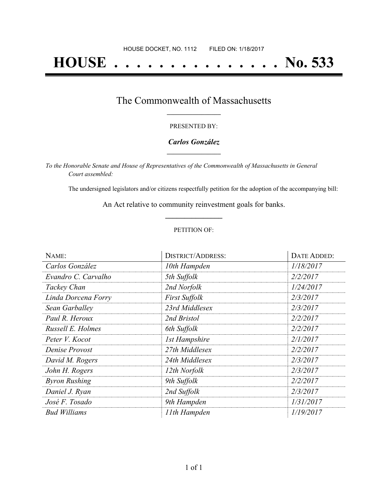# **HOUSE . . . . . . . . . . . . . . . No. 533**

## The Commonwealth of Massachusetts **\_\_\_\_\_\_\_\_\_\_\_\_\_\_\_\_\_**

#### PRESENTED BY:

#### *Carlos González* **\_\_\_\_\_\_\_\_\_\_\_\_\_\_\_\_\_**

*To the Honorable Senate and House of Representatives of the Commonwealth of Massachusetts in General Court assembled:*

The undersigned legislators and/or citizens respectfully petition for the adoption of the accompanying bill:

An Act relative to community reinvestment goals for banks. **\_\_\_\_\_\_\_\_\_\_\_\_\_\_\_**

#### PETITION OF:

| NAME:                | <b>DISTRICT/ADDRESS:</b> | <b>DATE ADDED:</b> |
|----------------------|--------------------------|--------------------|
| Carlos González      | 10th Hampden             | 1/18/2017          |
| Evandro C. Carvalho  | 5th Suffolk              | 2/2/2017           |
| Tackey Chan          | 2nd Norfolk              | 1/24/2017          |
| Linda Dorcena Forry  | <b>First Suffolk</b>     | 2/3/2017           |
| Sean Garballey       | 23rd Middlesex           | 2/3/2017           |
| Paul R. Heroux       | 2nd Bristol              | 2/2/2017           |
| Russell E. Holmes    | 6th Suffolk              | 2/2/2017           |
| Peter V. Kocot       | <b>1st Hampshire</b>     | 2/1/2017           |
| Denise Provost       | 27th Middlesex           | 2/2/2017           |
| David M. Rogers      | 24th Middlesex           | 2/3/2017           |
| John H. Rogers       | 12th Norfolk             | 2/3/2017           |
| <b>Byron Rushing</b> | 9th Suffolk              | 2/2/2017           |
| Daniel J. Ryan       | 2nd Suffolk              | 2/3/2017           |
| José F. Tosado       | 9th Hampden              | 1/31/2017          |
| Bud Williams         | 11th Hampden             | 1/19/2017          |